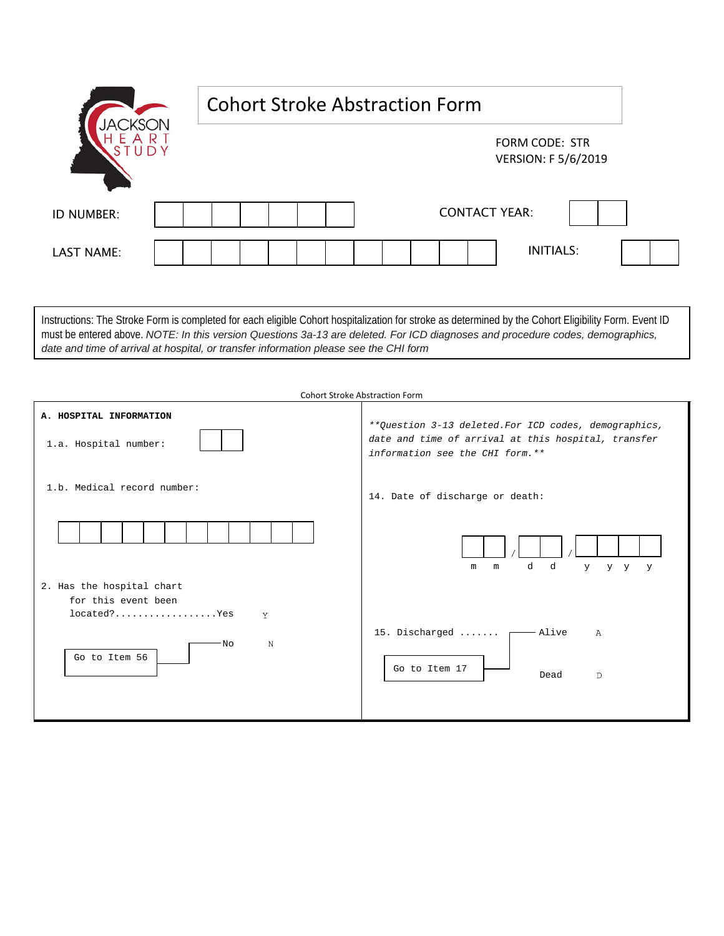|            |  | <b>Cohort Stroke Abstraction Form</b> |                                              |  |  |
|------------|--|---------------------------------------|----------------------------------------------|--|--|
|            |  |                                       | FORM CODE: STR<br><b>VERSION: F 5/6/2019</b> |  |  |
| ID NUMBER: |  |                                       | <b>CONTACT YEAR:</b>                         |  |  |
| LAST NAME: |  |                                       | <b>INITIALS:</b>                             |  |  |

Instructions: The Stroke Form is completed for each eligible Cohort hospitalization for stroke as determined by the Cohort Eligibility Form. Event ID must be entered above. *NOTE: In this version Questions 3a-13 are deleted. For ICD diagnoses and procedure codes, demographics, date and time of arrival at hospital, or transfer information please see the CHI form*

| <b>Cohort Stroke Abstraction Form</b>                                                             |                                                                                                                                                  |  |  |  |  |
|---------------------------------------------------------------------------------------------------|--------------------------------------------------------------------------------------------------------------------------------------------------|--|--|--|--|
| A. HOSPITAL INFORMATION<br>1.a. Hospital number:                                                  | ** Question 3-13 deleted. For ICD codes, demographics,<br>date and time of arrival at this hospital, transfer<br>information see the CHI form.** |  |  |  |  |
| 1.b. Medical record number:                                                                       | 14. Date of discharge or death:                                                                                                                  |  |  |  |  |
| 2. Has the hospital chart<br>for this event been<br>located?Yes<br>Y<br>N<br>'No<br>Go to Item 56 | d<br>d<br>$Y$ and $Y$<br>m<br>y y y<br>m<br>15. Discharged<br>- Alive<br>$\mathbb{A}$<br>Go to Item 17                                           |  |  |  |  |
|                                                                                                   | Dead<br>D                                                                                                                                        |  |  |  |  |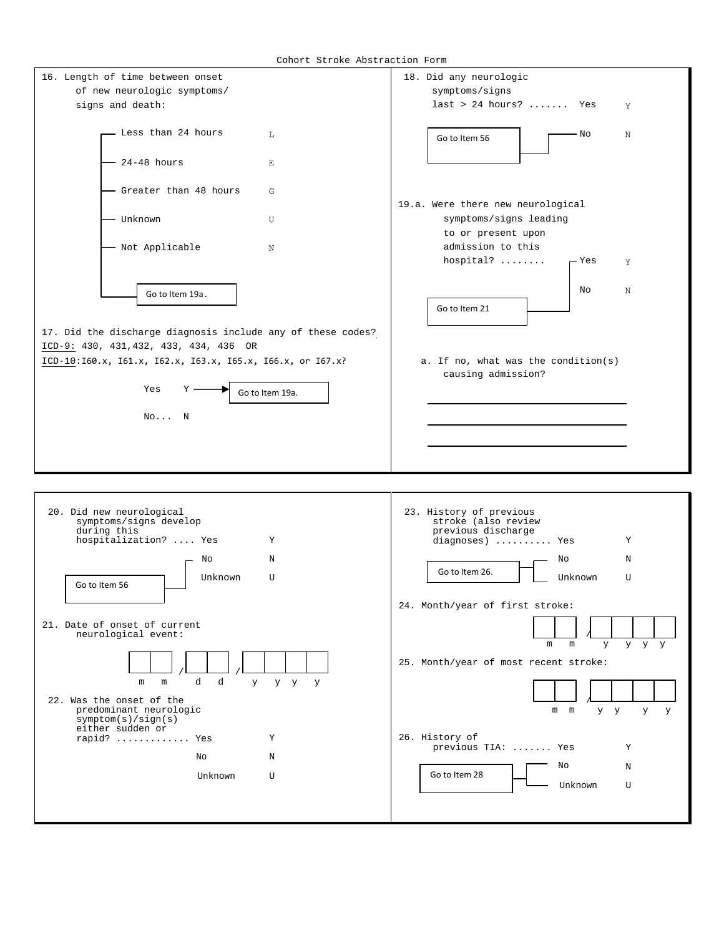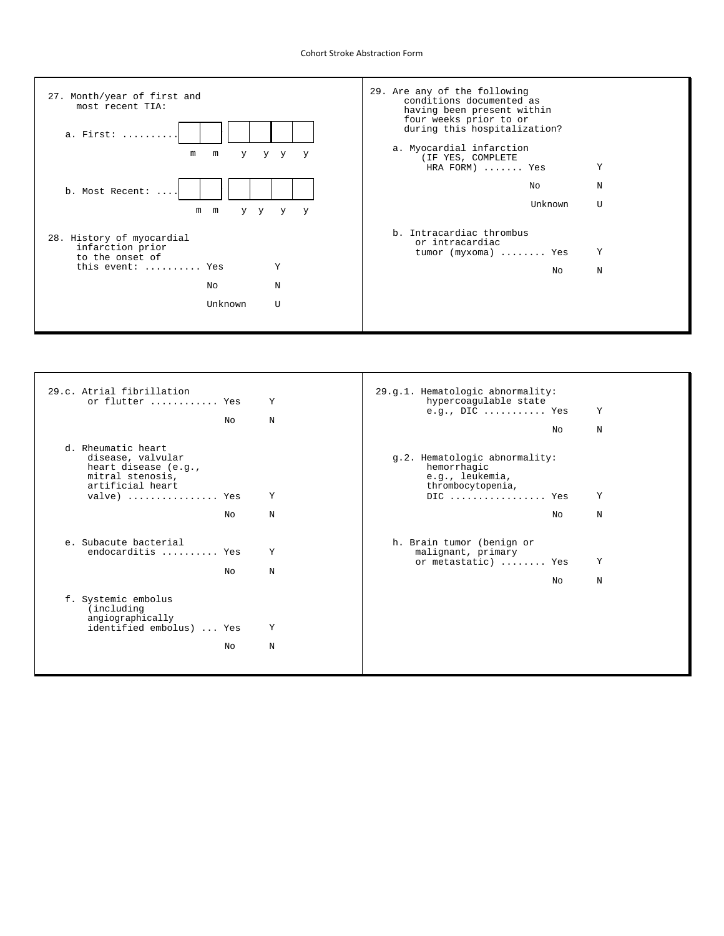## Cohort Stroke Abstraction Form



| 29.c. Atrial fibrillation            |    |   | 29.g.1. Hematologic abnormality:<br>hypercoagulable state           |    |   |
|--------------------------------------|----|---|---------------------------------------------------------------------|----|---|
| or flutter  Yes                      |    | Y | e.g., $DIC$ Yes                                                     |    | Υ |
|                                      | N∩ | N |                                                                     |    |   |
|                                      |    |   |                                                                     | NΩ | N |
| d. Rheumatic heart                   |    |   |                                                                     |    |   |
| disease, valvular                    |    |   | g.2. Hematologic abnormality:                                       |    |   |
| heart disease (e.g.,                 |    |   | hemorrhagic                                                         |    |   |
| mitral stenosis,<br>artificial heart |    |   | e.g., leukemia,                                                     |    |   |
| valve)  Yes                          |    | Υ | thrombocytopenia,<br>$DIC \dots \dots \dots \dots \dots \text{Yes}$ |    | Υ |
|                                      |    |   |                                                                     |    |   |
|                                      | Nο | N |                                                                     | NΩ | N |
|                                      |    |   |                                                                     |    |   |
| e. Subacute bacterial                |    |   | h. Brain tumor (benign or                                           |    |   |
| endocarditis  Yes                    |    | Y | malignant, primary                                                  |    |   |
|                                      |    |   | or metastatic)  Yes                                                 |    | Υ |
|                                      | N∩ | N |                                                                     |    |   |
|                                      |    |   |                                                                     | No | N |
| f. Systemic embolus                  |    |   |                                                                     |    |   |
| (including                           |    |   |                                                                     |    |   |
| angiographically                     |    |   |                                                                     |    |   |
| identified embolus)  Yes             |    | Υ |                                                                     |    |   |
|                                      | No | N |                                                                     |    |   |
|                                      |    |   |                                                                     |    |   |
|                                      |    |   |                                                                     |    |   |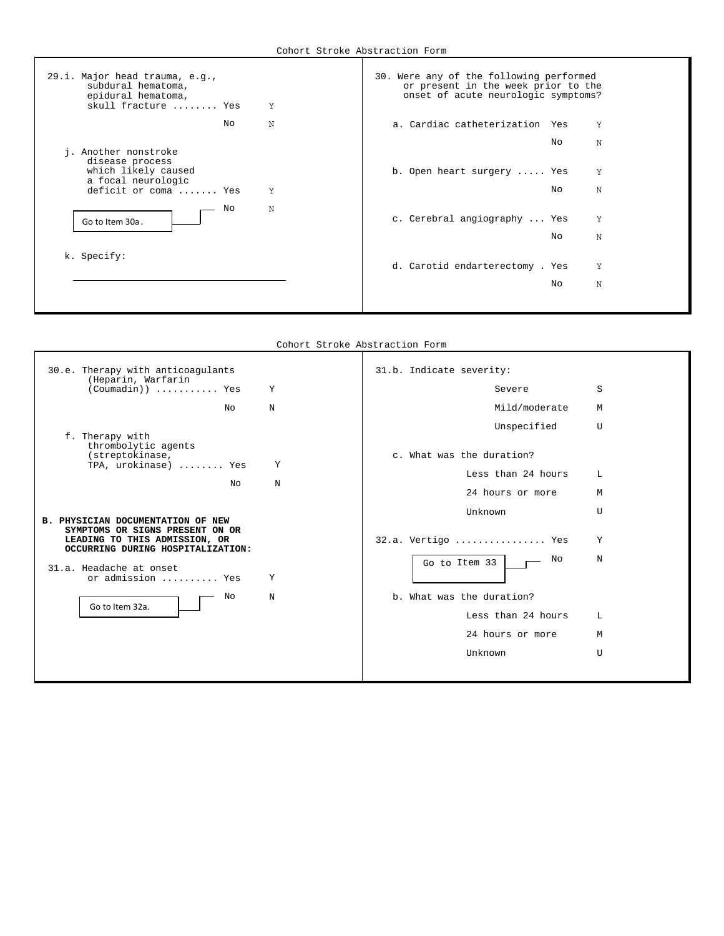| 29.i. Major head trauma, e.g.,<br>subdural hematoma,<br>epidural hematoma,<br>skull fracture  Yes<br>Y | 30. Were any of the following performed<br>or present in the week prior to the<br>onset of acute neurologic symptoms? |
|--------------------------------------------------------------------------------------------------------|-----------------------------------------------------------------------------------------------------------------------|
| N<br>NΩ                                                                                                | a. Cardiac catheterization<br>Y<br>Yes                                                                                |
| j. Another nonstroke<br>disease process                                                                | N<br>No                                                                                                               |
| which likely caused<br>a focal neurologic                                                              | Y<br>b. Open heart surgery  Yes                                                                                       |
| Y<br>deficit or coma  Yes                                                                              | N<br>No.                                                                                                              |
| N<br>No<br>Go to Item 30a.                                                                             | c. Cerebral angiography  Yes<br>Y                                                                                     |
|                                                                                                        | N<br>No                                                                                                               |
| k. Specify:                                                                                            | Y<br>d. Carotid endarterectomy . Yes                                                                                  |
|                                                                                                        | N<br>No                                                                                                               |
|                                                                                                        |                                                                                                                       |

Cohort Stroke Abstraction Form

Г

| 30.e. Therapy with anticoagulants<br>(Heparin, Warfarin                                               |            | 31.b. Indicate severity:  |              |
|-------------------------------------------------------------------------------------------------------|------------|---------------------------|--------------|
| $(Countadin)$ Yes                                                                                     | Y          | Severe                    | S            |
| No                                                                                                    | $_{\rm N}$ | Mild/moderate             | M            |
| f. Therapy with<br>thrombolytic agents                                                                |            | Unspecified               | $\mathbf{U}$ |
| (streptokinase,<br>TPA, urokinase)  Yes                                                               | Υ          | c. What was the duration? |              |
| No                                                                                                    | N          | Less than 24 hours        | L            |
|                                                                                                       |            | 24 hours or more          | М            |
| <b>B. PHYSICIAN DOCUMENTATION OF NEW</b>                                                              |            | Unknown                   | $\mathbf{U}$ |
| SYMPTOMS OR SIGNS PRESENT ON OR<br>LEADING TO THIS ADMISSION, OR<br>OCCURRING DURING HOSPITALIZATION: |            | $32.a.$ Vertigo  Yes      | Υ            |
| 31.a. Headache at onset<br>or admission  Yes                                                          | Υ          | No<br>Go to Item 33       | N            |
| No                                                                                                    | $\rm N$    | b. What was the duration? |              |
| Go to Item 32a.                                                                                       |            | Less than 24 hours        | L            |
|                                                                                                       |            | 24 hours or more          | М            |
|                                                                                                       |            | Unknown                   | $\mathbf{U}$ |
|                                                                                                       |            |                           |              |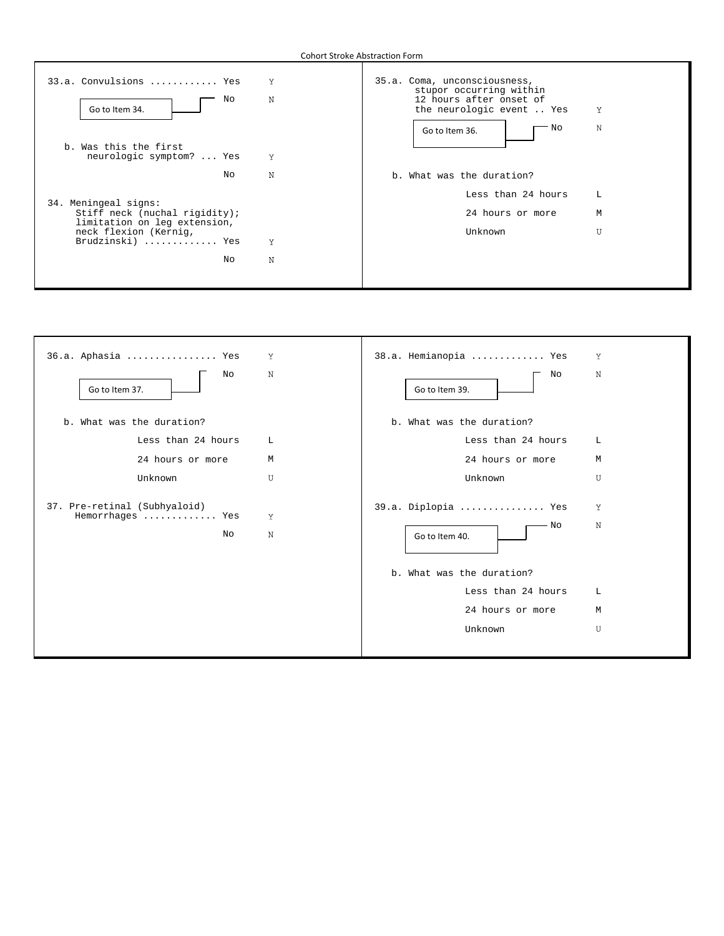Г

| 33.a. Convulsions  Yes                                                                | Y | 35.a. Coma, unconsciousness,<br>stupor occurring within |   |
|---------------------------------------------------------------------------------------|---|---------------------------------------------------------|---|
| No<br>Go to Item 34.                                                                  | N | 12 hours after onset of<br>the neurologic event  Yes    | Υ |
| b. Was this the first<br>neurologic symptom?  Yes                                     | Y | ' No<br>Go to Item 36.                                  | N |
| No                                                                                    | N | b. What was the duration?                               |   |
|                                                                                       |   | Less than 24 hours                                      | L |
| 34. Meningeal signs:<br>Stiff neck (nuchal rigidity);<br>limitation on leg extension, |   | 24 hours or more                                        | M |
| neck flexion (Kernig,<br>Brudzinski)  Yes                                             | Y | Unknown                                                 | U |
| No                                                                                    | N |                                                         |   |
|                                                                                       |   |                                                         |   |

| 36.a. Aphasia  Yes                                     | Y      | 38.a. Hemianopia  Yes                                                                                                           | Y                     |
|--------------------------------------------------------|--------|---------------------------------------------------------------------------------------------------------------------------------|-----------------------|
| N<br>No<br>Go to Item 37.                              |        | No<br>Go to Item 39.                                                                                                            | $_{\rm N}$            |
| b. What was the duration?                              |        | b. What was the duration?                                                                                                       |                       |
| Less than 24 hours                                     | L      | Less than 24 hours                                                                                                              | L                     |
| 24 hours or more                                       | M      | 24 hours or more                                                                                                                | M                     |
| Unknown                                                | U      | Unknown                                                                                                                         | U                     |
| 37. Pre-retinal (Subhyaloid)<br>Hemorrhages  Yes<br>No | Y<br>N | 39.a. Diplopia  Yes<br>- No<br>Go to Item 40.<br>b. What was the duration?<br>Less than 24 hours<br>24 hours or more<br>Unknown | Υ<br>N<br>L<br>M<br>U |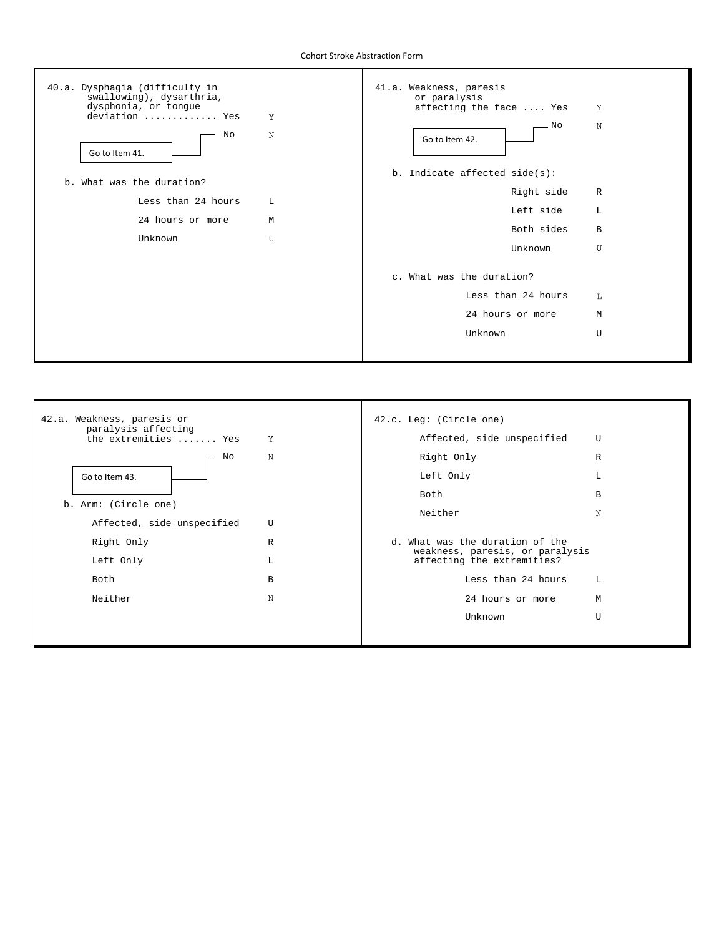Cohort Stroke Abstraction Form



| 42.a. Weakness, paresis or<br>paralysis affecting<br>the extremities  Yes<br>Y |              | 42.c. Leg: (Circle one)<br>Affected, side unspecified<br>U    |   |  |
|--------------------------------------------------------------------------------|--------------|---------------------------------------------------------------|---|--|
|                                                                                |              |                                                               |   |  |
| No                                                                             | N            | Right Only                                                    | R |  |
| Go to Item 43.                                                                 |              | Left Only                                                     | L |  |
|                                                                                |              | Both                                                          | B |  |
| b. Arm: (Circle one)                                                           |              | Neither                                                       | N |  |
| Affected, side unspecified                                                     | $\mathbf{U}$ |                                                               |   |  |
| Right Only                                                                     | R            | d. What was the duration of the                               |   |  |
| Left Only                                                                      | L            | weakness, paresis, or paralysis<br>affecting the extremities? |   |  |
| Both                                                                           | B            | Less than 24 hours                                            | L |  |
| Neither                                                                        | N            | 24 hours or more                                              | M |  |
|                                                                                |              | Unknown                                                       | U |  |
|                                                                                |              |                                                               |   |  |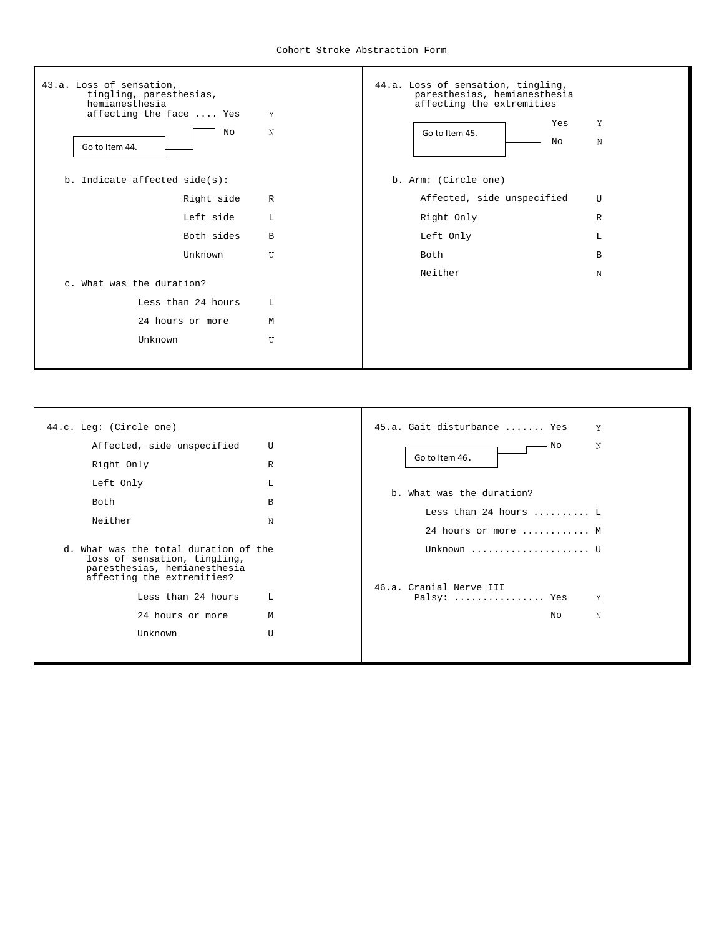

| 44.c. Leg: (Circle one)                                                                                                                                                                                 |                       | 45.a. Gait disturbance  Yes<br>Y                                                                                    |
|---------------------------------------------------------------------------------------------------------------------------------------------------------------------------------------------------------|-----------------------|---------------------------------------------------------------------------------------------------------------------|
| Affected, side unspecified<br>Right Only<br>Left Only<br>Both<br>Neither                                                                                                                                | U<br>R<br>L<br>B<br>N | N<br>· No<br>Go to Item 46.<br>b. What was the duration?<br>Less than 24 hours $\dots \dots$<br>24 hours or more  M |
| d. What was the total duration of the<br>loss of sensation, tingling,<br>paresthesias, hemianesthesia<br>affecting the extremities?<br>Less than 24 hours<br>L<br>24 hours or more<br>M<br>Unknown<br>U |                       | Unknown  U<br>46.a. Cranial Nerve III<br>Υ<br>Palsy:  Yes<br>N<br>N∩                                                |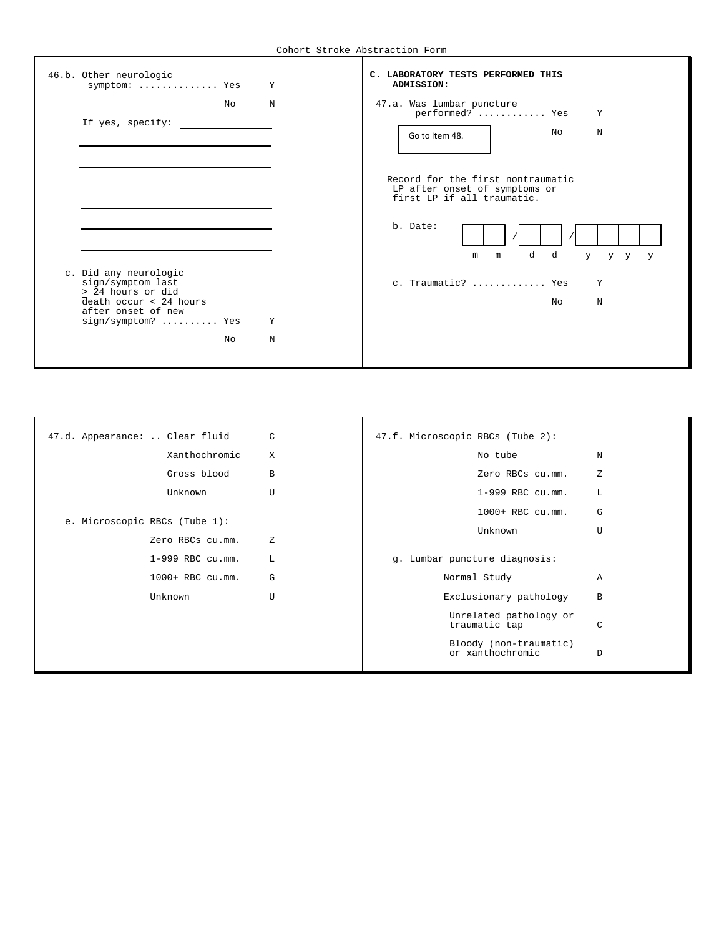| 46.b. Other neurologic<br>symptom:  Yes                                                                                                             |    | Y      | C. LABORATORY TESTS PERFORMED THIS<br>ADMISSION:                                                                                                                                                |
|-----------------------------------------------------------------------------------------------------------------------------------------------------|----|--------|-------------------------------------------------------------------------------------------------------------------------------------------------------------------------------------------------|
| If yes, specify:                                                                                                                                    | NΩ | N      | 47.a. Was lumbar puncture<br>performed?  Yes<br>Y<br>— No<br>N<br>Go to Item 48.                                                                                                                |
| c. Did any neurologic<br>sign/symptom last<br>> 24 hours or did<br>$\overline{death}$ occur < 24 hours<br>after onset of new<br>$sign/symptom?$ Yes | No | Y<br>N | Record for the first nontraumatic<br>LP after onset of symptoms or<br>first LP if all traumatic.<br>b. Date:<br>d<br>d<br>m<br>y.<br>y y<br>m<br><b>V</b><br>c. Traumatic?  Yes<br>Y<br>NΩ<br>N |

| 47.d. Appearance:  Clear fluid |                               | C              | 47.f. Microscopic RBCs (Tube 2): |                                            |                |
|--------------------------------|-------------------------------|----------------|----------------------------------|--------------------------------------------|----------------|
|                                | Xanthochromic                 | X              |                                  | No tube                                    | N              |
|                                | Gross blood                   | B              |                                  | Zero RBCs cu.mm.                           | Ζ              |
|                                | Unknown                       | $\overline{U}$ |                                  | 1-999 RBC cu.mm.                           | Г              |
|                                | e. Microscopic RBCs (Tube 1): |                |                                  | 1000+ RBC cu.mm.                           | G              |
|                                |                               |                |                                  | Unknown                                    | U              |
|                                | Zero RBCs cu.mm.              | Ζ              |                                  |                                            |                |
|                                | $1-999$ RBC $cu.mm$ .         | L              |                                  | g. Lumbar puncture diagnosis:              |                |
|                                | 1000+ RBC cu.mm.              | G              |                                  | Normal Study                               | $\overline{A}$ |
|                                | Unknown                       | U              |                                  | Exclusionary pathology                     | B              |
|                                |                               |                |                                  | Unrelated pathology or<br>traumatic tap    | $\mathcal{C}$  |
|                                |                               |                |                                  | Bloody (non-traumatic)<br>or xanthochromic | D              |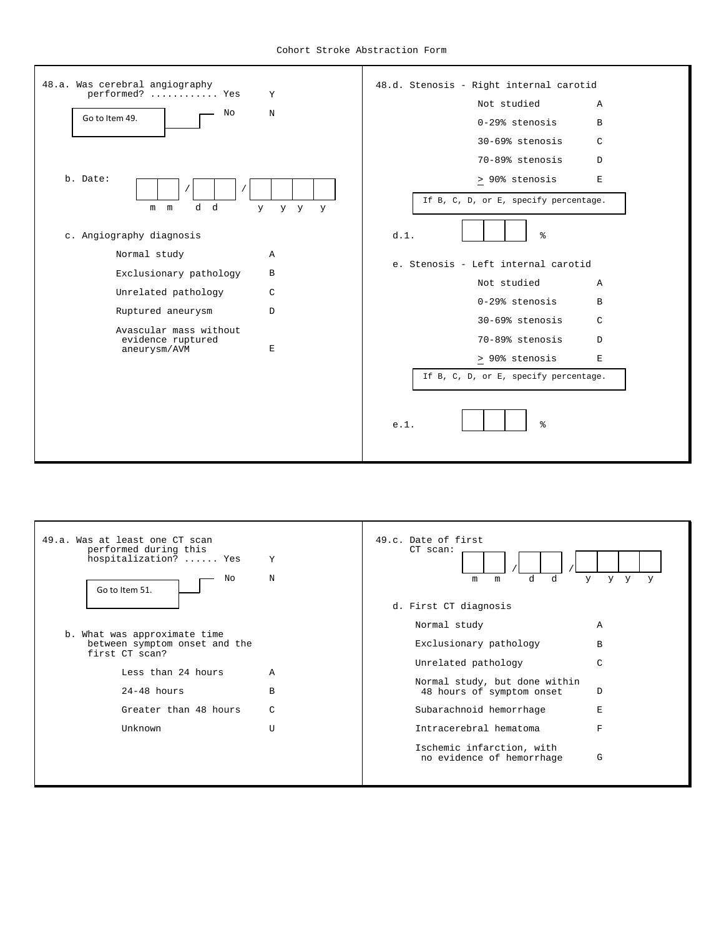

| 49.a. Was at least one CT scan<br>performed during this<br>hospitalization?  Yes<br>No<br>Go to Item 51. | Y<br>N | 49.c. Date of first<br>$CT$ scan:<br>d<br>d<br>y.<br>y y<br>m<br>m<br>y |
|----------------------------------------------------------------------------------------------------------|--------|-------------------------------------------------------------------------|
|                                                                                                          |        | d. First CT diagnosis                                                   |
|                                                                                                          |        | Normal study<br>A                                                       |
| b. What was approximate time<br>between symptom onset and the<br>first CT scan?                          |        | Exclusionary pathology<br>В                                             |
|                                                                                                          |        | Unrelated pathology<br>C                                                |
| Less than 24 hours                                                                                       | A      | Normal study, but done within                                           |
| $24-48$ hours                                                                                            | B      | D<br>48 hours of symptom onset                                          |
| Greater than 48 hours                                                                                    | C      | Subarachnoid hemorrhage<br>E.                                           |
| Unknown                                                                                                  | Π      | Intracerebral hematoma<br>F                                             |
|                                                                                                          |        | Ischemic infarction, with<br>G<br>no evidence of hemorrhage             |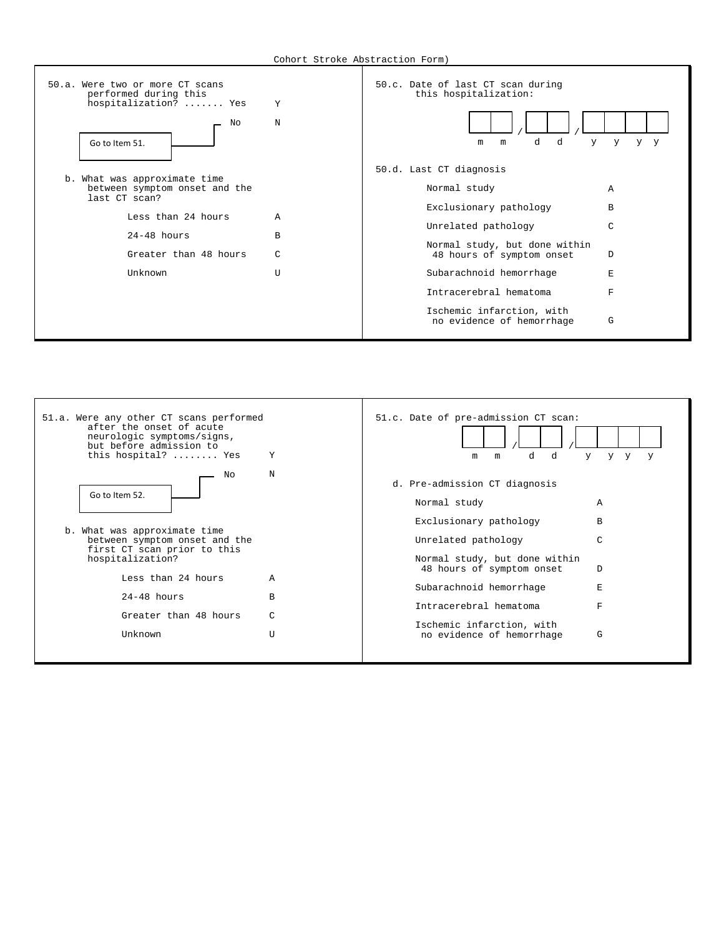

| 51.a. Were any other CT scans performed<br>after the onset of acute<br>neurologic symptoms/signs,<br>but before admission to<br>this hospital?  Yes                                                                 | Y                       | 51.c. Date of pre-admission CT scan:<br>d<br>d<br>m<br>m                                                                                                                                                                                                                    | y.<br>y y<br>y                  |
|---------------------------------------------------------------------------------------------------------------------------------------------------------------------------------------------------------------------|-------------------------|-----------------------------------------------------------------------------------------------------------------------------------------------------------------------------------------------------------------------------------------------------------------------------|---------------------------------|
| Nο<br>Go to Item 52.<br>b. What was approximate time<br>between symptom onset and the<br>first CT scan prior to this<br>hospitalization?<br>Less than 24 hours<br>$24-48$ hours<br>Greater than 48 hours<br>Unknown | N<br>A<br>B<br>C<br>$T$ | d. Pre-admission CT diagnosis<br>Normal study<br>Exclusionary pathology<br>Unrelated pathology<br>Normal study, but done within<br>48 hours of symptom onset<br>Subarachnoid hemorrhage<br>Intracerebral hematoma<br>Ischemic infarction, with<br>no evidence of hemorrhage | A<br>B<br>C<br>D<br>E<br>F<br>G |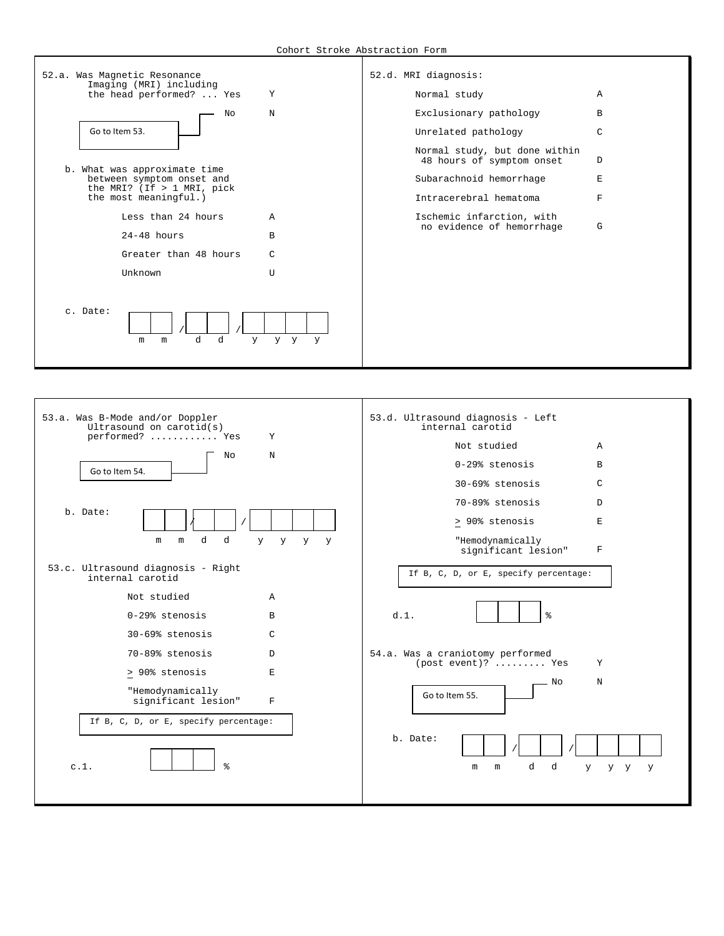